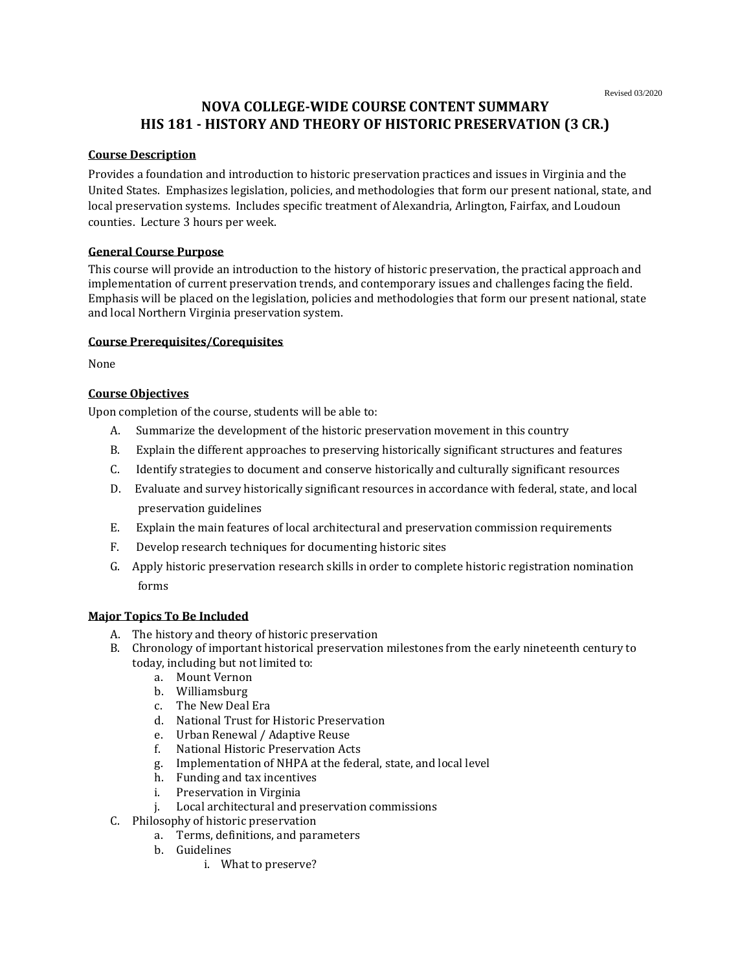# **NOVA COLLEGE-WIDE COURSE CONTENT SUMMARY HIS 181 - HISTORY AND THEORY OF HISTORIC PRESERVATION (3 CR.)**

### **Course Description**

Provides a foundation and introduction to historic preservation practices and issues in Virginia and the United States. Emphasizes legislation, policies, and methodologies that form our present national, state, and local preservation systems. Includes specific treatment of Alexandria, Arlington, Fairfax, and Loudoun counties. Lecture 3 hours per week.

## **General Course Purpose**

This course will provide an introduction to the history of historic preservation, the practical approach and implementation of current preservation trends, and contemporary issues and challenges facing the field. Emphasis will be placed on the legislation, policies and methodologies that form our present national, state and local Northern Virginia preservation system.

#### **Course Prerequisites/Corequisites**

None

## **Course Objectives**

Upon completion of the course, students will be able to:

- A. Summarize the development of the historic preservation movement in this country
- B. Explain the different approaches to preserving historically significant structures and features
- C. Identify strategies to document and conserve historically and culturally significant resources
- D. Evaluate and survey historically significant resources in accordance with federal, state, and local preservation guidelines
- E. Explain the main features of local architectural and preservation commission requirements
- F. Develop research techniques for documenting historic sites
- G. Apply historic preservation research skills in order to complete historic registration nomination forms

#### **Major Topics To Be Included**

- A. The history and theory of historic preservation
- B. Chronology of important historical preservation milestones from the early nineteenth century to today, including but not limited to:
	- a. Mount Vernon
	- b. Williamsburg
	- c. The New Deal Era
	- d. National Trust for Historic Preservation
	- e. Urban Renewal / Adaptive Reuse
	- f. National Historic Preservation Acts
	- g. Implementation of NHPA at the federal, state, and local level
	- h. Funding and tax incentives
	- i. Preservation in Virginia
	- j. Local architectural and preservation commissions
- C. Philosophy of historic preservation
	- a. Terms, definitions, and parameters
	- b. Guidelines
		- i. What to preserve?